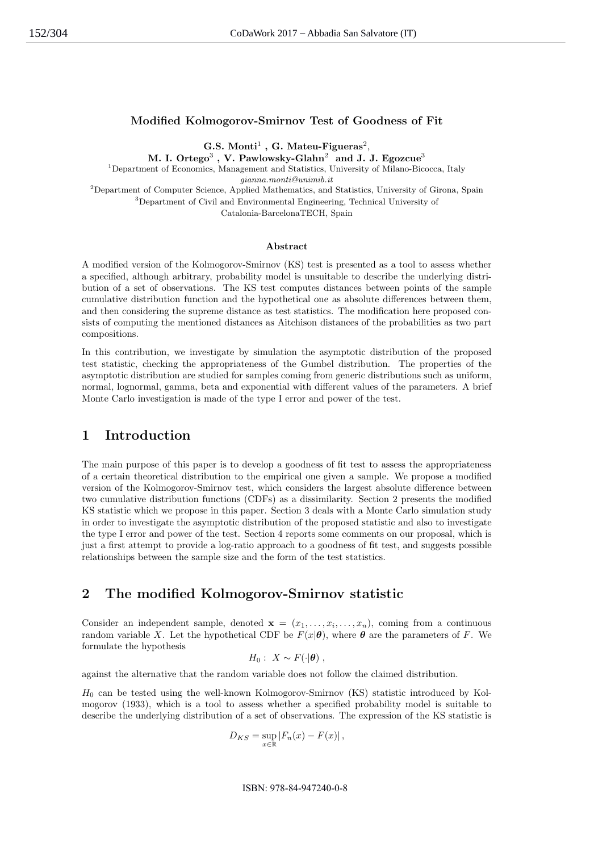## Modified Kolmogorov-Smirnov Test of Goodness of Fit

 $\mathbf{G.S.}$  Monti<sup>1</sup>,  $\mathbf{G.}$  Mateu-Figueras<sup>2</sup>,

M. I. Ortego $^3$  , V. Pawlowsky-Glahn $^2\,$  and J. J. Egozcu $\mathrm{e}^3$ <sup>1</sup>Department of Economics, Management and Statistics, University of Milano-Bicocca, Italy gianna.monti@unimib.it

<sup>2</sup>Department of Computer Science, Applied Mathematics, and Statistics, University of Girona, Spain <sup>3</sup>Department of Civil and Environmental Engineering, Technical University of

Catalonia-BarcelonaTECH, Spain

#### Abstract

A modified version of the Kolmogorov-Smirnov (KS) test is presented as a tool to assess whether a specified, although arbitrary, probability model is unsuitable to describe the underlying distribution of a set of observations. The KS test computes distances between points of the sample cumulative distribution function and the hypothetical one as absolute differences between them, and then considering the supreme distance as test statistics. The modification here proposed consists of computing the mentioned distances as Aitchison distances of the probabilities as two part compositions.

In this contribution, we investigate by simulation the asymptotic distribution of the proposed test statistic, checking the appropriateness of the Gumbel distribution. The properties of the asymptotic distribution are studied for samples coming from generic distributions such as uniform, normal, lognormal, gamma, beta and exponential with different values of the parameters. A brief Monte Carlo investigation is made of the type I error and power of the test.

## 1 Introduction

The main purpose of this paper is to develop a goodness of fit test to assess the appropriateness of a certain theoretical distribution to the empirical one given a sample. We propose a modified version of the Kolmogorov-Smirnov test, which considers the largest absolute difference between two cumulative distribution functions (CDFs) as a dissimilarity. Section 2 presents the modified KS statistic which we propose in this paper. Section 3 deals with a Monte Carlo simulation study in order to investigate the asymptotic distribution of the proposed statistic and also to investigate the type I error and power of the test. Section 4 reports some comments on our proposal, which is just a first attempt to provide a log-ratio approach to a goodness of fit test, and suggests possible relationships between the sample size and the form of the test statistics.

### 2 The modified Kolmogorov-Smirnov statistic

Consider an independent sample, denoted  $\mathbf{x} = (x_1, \ldots, x_i, \ldots, x_n)$ , coming from a continuous random variable X. Let the hypothetical CDF be  $F(x|\theta)$ , where  $\theta$  are the parameters of F. We formulate the hypothesis

$$
H_0: X \sim F(\cdot | \boldsymbol{\theta}) ,
$$

against the alternative that the random variable does not follow the claimed distribution.

 $H_0$  can be tested using the well-known Kolmogorov-Smirnov (KS) statistic introduced by Kolmogorov (1933), which is a tool to assess whether a specified probability model is suitable to describe the underlying distribution of a set of observations. The expression of the KS statistic is

$$
D_{KS} = \sup_{x \in \mathbb{R}} |F_n(x) - F(x)|,
$$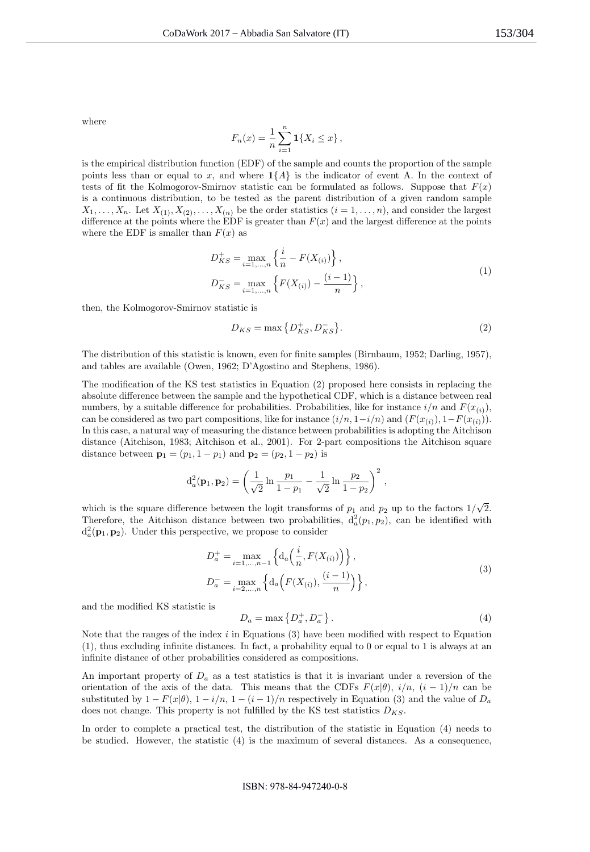where

$$
F_n(x) = \frac{1}{n} \sum_{i=1}^n \mathbf{1}\{X_i \le x\},\,
$$

is the empirical distribution function (EDF) of the sample and counts the proportion of the sample points less than or equal to x, and where  $1\{A\}$  is the indicator of event A. In the context of tests of fit the Kolmogorov-Smirnov statistic can be formulated as follows. Suppose that  $F(x)$ is a continuous distribution, to be tested as the parent distribution of a given random sample  $X_1, \ldots, X_n$ . Let  $X_{(1)}, X_{(2)}, \ldots, X_{(n)}$  be the order statistics  $(i = 1, \ldots, n)$ , and consider the largest difference at the points where the EDF is greater than  $F(x)$  and the largest difference at the points where the EDF is smaller than  $F(x)$  as

$$
D_{KS}^{+} = \max_{i=1,...,n} \left\{ \frac{i}{n} - F(X_{(i)}) \right\},\,
$$
  
\n
$$
D_{KS}^{-} = \max_{i=1,...,n} \left\{ F(X_{(i)}) - \frac{(i-1)}{n} \right\},
$$
\n(1)

then, the Kolmogorov-Smirnov statistic is

$$
D_{KS} = \max\left\{D_{KS}^+, D_{KS}^-\right\}.\tag{2}
$$

The distribution of this statistic is known, even for finite samples (Birnbaum, 1952; Darling, 1957), and tables are available (Owen, 1962; D'Agostino and Stephens, 1986).

The modification of the KS test statistics in Equation (2) proposed here consists in replacing the absolute difference between the sample and the hypothetical CDF, which is a distance between real numbers, by a suitable difference for probabilities. Probabilities, like for instance  $i/n$  and  $F(x_{(i)})$ , can be considered as two part compositions, like for instance  $(i/n, 1-i/n)$  and  $(F(x_{(i)}), 1-F(x_{(i)}))$ . In this case, a natural way of measuring the distance between probabilities is adopting the Aitchison distance (Aitchison, 1983; Aitchison et al., 2001). For 2-part compositions the Aitchison square distance between  $\mathbf{p}_1 = (p_1, 1 - p_1)$  and  $\mathbf{p}_2 = (p_2, 1 - p_2)$  is

$$
d_a^2(\mathbf{p}_1, \mathbf{p}_2) = \left(\frac{1}{\sqrt{2}} \ln \frac{p_1}{1-p_1} - \frac{1}{\sqrt{2}} \ln \frac{p_2}{1-p_2}\right)^2,
$$

which is the square difference between the logit transforms of  $p_1$  and  $p_2$  up to the factors  $1/\sqrt{2}$ . Therefore, the Aitchison distance between two probabilities,  $d_a^2(p_1, p_2)$ , can be identified with  $d_a^2(\mathbf{p}_1, \mathbf{p}_2)$ . Under this perspective, we propose to consider

$$
D_a^+ = \max_{i=1,...,n-1} \left\{ d_a\left(\frac{i}{n}, F(X_{(i)})\right) \right\},
$$
  
\n
$$
D_a^- = \max_{i=2,...,n} \left\{ d_a\left(F(X_{(i)}), \frac{(i-1)}{n}\right) \right\},
$$
\n(3)

and the modified KS statistic is

$$
D_a = \max\left\{D_a^+, D_a^-\right\}.\tag{4}
$$

Note that the ranges of the index  $i$  in Equations (3) have been modified with respect to Equation (1), thus excluding infinite distances. In fact, a probability equal to 0 or equal to 1 is always at an infinite distance of other probabilities considered as compositions.

An important property of  $D_a$  as a test statistics is that it is invariant under a reversion of the orientation of the axis of the data. This means that the CDFs  $F(x|\theta)$ ,  $i/n$ ,  $(i-1)/n$  can be substituted by  $1 - F(x|\theta)$ ,  $1 - i/n$ ,  $1 - (i - 1)/n$  respectively in Equation (3) and the value of  $D_a$ does not change. This property is not fulfilled by the KS test statistics  $D_{KS}$ .

In order to complete a practical test, the distribution of the statistic in Equation (4) needs to be studied. However, the statistic (4) is the maximum of several distances. As a consequence,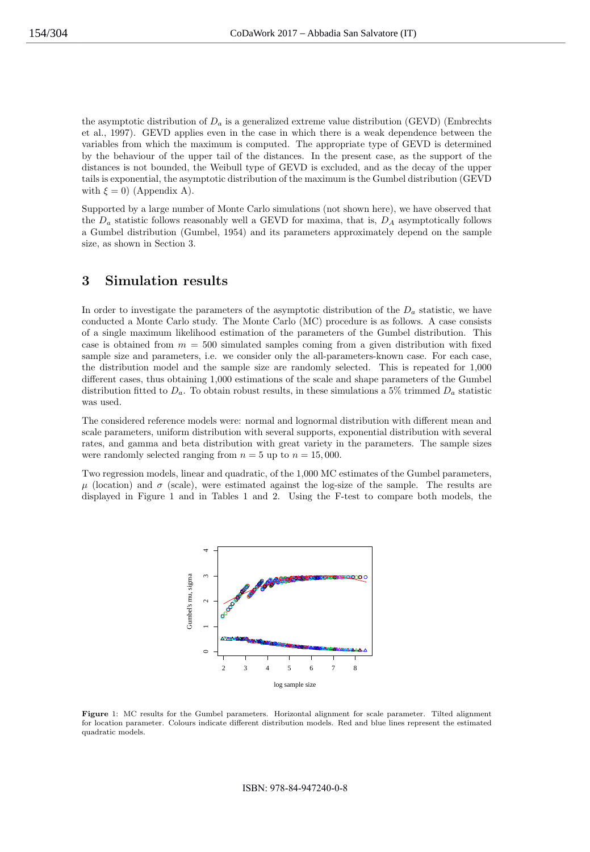the asymptotic distribution of  $D_a$  is a generalized extreme value distribution (GEVD) (Embrechts et al., 1997). GEVD applies even in the case in which there is a weak dependence between the variables from which the maximum is computed. The appropriate type of GEVD is determined by the behaviour of the upper tail of the distances. In the present case, as the support of the distances is not bounded, the Weibull type of GEVD is excluded, and as the decay of the upper tails is exponential, the asymptotic distribution of the maximum is the Gumbel distribution (GEVD with  $\xi = 0$ ) (Appendix A).

Supported by a large number of Monte Carlo simulations (not shown here), we have observed that the  $D_a$  statistic follows reasonably well a GEVD for maxima, that is,  $D_A$  asymptotically follows a Gumbel distribution (Gumbel, 1954) and its parameters approximately depend on the sample size, as shown in Section 3.

## 3 Simulation results

In order to investigate the parameters of the asymptotic distribution of the  $D_a$  statistic, we have conducted a Monte Carlo study. The Monte Carlo (MC) procedure is as follows. A case consists of a single maximum likelihood estimation of the parameters of the Gumbel distribution. This case is obtained from  $m = 500$  simulated samples coming from a given distribution with fixed sample size and parameters, i.e. we consider only the all-parameters-known case. For each case, the distribution model and the sample size are randomly selected. This is repeated for 1,000 different cases, thus obtaining 1,000 estimations of the scale and shape parameters of the Gumbel distribution fitted to  $D_a$ . To obtain robust results, in these simulations a 5% trimmed  $D_a$  statistic was used.

The considered reference models were: normal and lognormal distribution with different mean and scale parameters, uniform distribution with several supports, exponential distribution with several rates, and gamma and beta distribution with great variety in the parameters. The sample sizes were randomly selected ranging from  $n = 5$  up to  $n = 15,000$ .

Two regression models, linear and quadratic, of the 1,000 MC estimates of the Gumbel parameters,  $\mu$  (location) and  $\sigma$  (scale), were estimated against the log-size of the sample. The results are displayed in Figure 1 and in Tables 1 and 2. Using the F-test to compare both models, the



Figure 1: MC results for the Gumbel parameters. Horizontal alignment for scale parameter. Tilted alignment for location parameter. Colours indicate different distribution models. Red and blue lines represent the estimated quadratic models.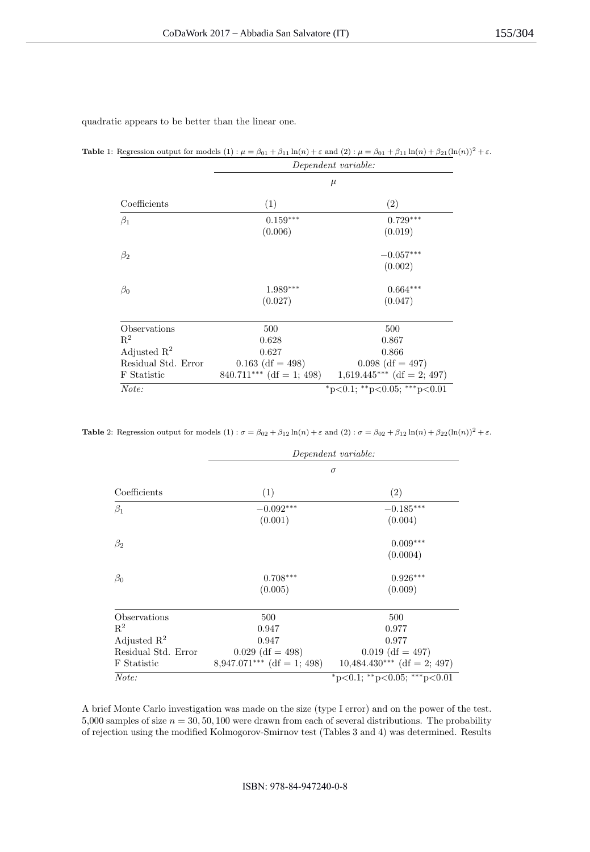quadratic appears to be better than the linear one.

Table 1: Regression output for models  $(1)$ :  $\mu = \beta_{01} + \beta_{11} \ln(n) + \varepsilon$  and  $(2)$ :  $\mu = \beta_{01} + \beta_{11} \ln(n) + \beta_{21} (\ln(n))^2 + \varepsilon$ .

|                         | Dependent variable:<br>$\mu$ |                              |  |  |
|-------------------------|------------------------------|------------------------------|--|--|
| Coefficients            |                              |                              |  |  |
|                         | (1)                          | (2)                          |  |  |
| $\beta_1$               | $0.159***$                   | $0.729***$                   |  |  |
|                         | (0.006)                      | (0.019)                      |  |  |
| $\beta_2$               |                              | $-0.057^{\ast\ast\ast}$      |  |  |
|                         |                              | (0.002)                      |  |  |
| $\beta_0$               | $1.989***$                   | $0.664***$                   |  |  |
|                         | (0.027)                      | (0.047)                      |  |  |
| Observations            | 500                          | 500                          |  |  |
| $R^2$                   | 0.628                        | 0.867                        |  |  |
| Adjusted $\mathbb{R}^2$ | 0.627                        | 0.866                        |  |  |
| Residual Std. Error     | $0.163$ (df = 498)           | $0.098$ (df = 497)           |  |  |
| F Statistic             | $840.711***$ (df = 1; 498)   | $1,619.445***$ (df = 2; 497) |  |  |
| Note:                   |                              | *p<0.1; **p<0.05; ***p<0.01  |  |  |

**Table** 2: Regression output for models  $(1)$  :  $\sigma = \beta_{02} + \beta_{12} \ln(n) + \varepsilon$  and  $(2)$  :  $\sigma = \beta_{02} + \beta_{12} \ln(n) + \beta_{22} (\ln(n))^2 + \varepsilon$ .

|                         | Dependent variable:<br>$\sigma$ |                               |  |  |
|-------------------------|---------------------------------|-------------------------------|--|--|
|                         |                                 |                               |  |  |
| Coefficients            | (1)                             | (2)                           |  |  |
| $\beta_1$               | $-0.092***$                     | $-0.185***$                   |  |  |
|                         | (0.001)                         | (0.004)                       |  |  |
| $\beta_2$               |                                 | $0.009***$                    |  |  |
|                         |                                 | (0.0004)                      |  |  |
| $\beta_0$               | $0.708***$                      | $0.926***$                    |  |  |
|                         | (0.005)                         | (0.009)                       |  |  |
| Observations            | 500                             | 500                           |  |  |
| $\mathbf{R}^2$          | 0.947                           | 0.977                         |  |  |
| Adjusted $\mathbb{R}^2$ | 0.947                           | 0.977                         |  |  |
| Residual Std. Error     | $0.029$ (df = 498)              | $0.019$ (df = 497)            |  |  |
| F Statistic             | $8,947.071***$ (df = 1; 498)    | $10,484.430***$ (df = 2; 497) |  |  |
| Note:                   |                                 | *p<0.1; **p<0.05; ***p<0.01   |  |  |

A brief Monte Carlo investigation was made on the size (type I error) and on the power of the test. 5,000 samples of size  $n = 30, 50, 100$  were drawn from each of several distributions. The probability of rejection using the modified Kolmogorov-Smirnov test (Tables 3 and 4) was determined. Results

#### ISBN: 978-84-947240-0-8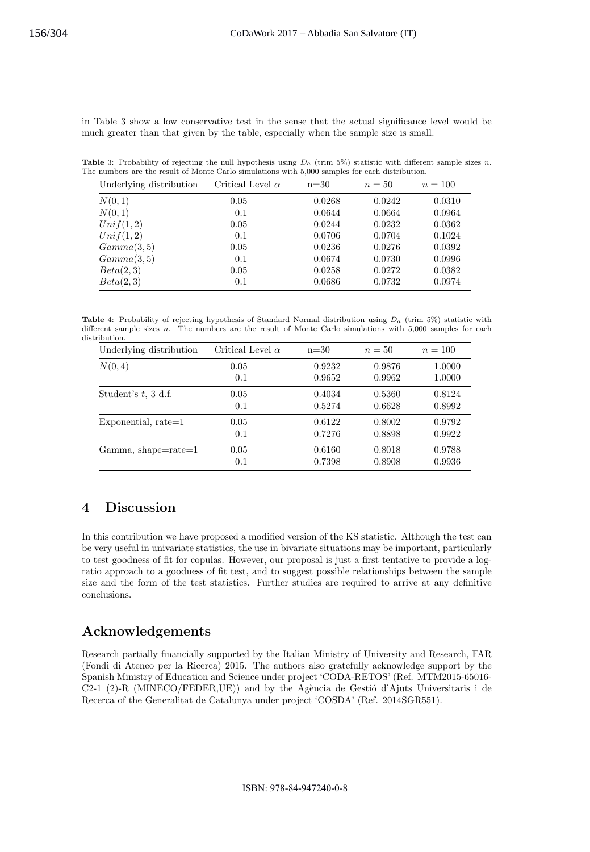in Table 3 show a low conservative test in the sense that the actual significance level would be much greater than that given by the table, especially when the sample size is small.

**Table** 3: Probability of rejecting the null hypothesis using  $D_a$  (trim 5%) statistic with different sample sizes n. The numbers are the result of Monte Carlo simulations with 5,000 samples for each distribution.

| Underlying distribution | Critical Level $\alpha$ | $n=30$ | $n=50$ | $n = 100$ |
|-------------------------|-------------------------|--------|--------|-----------|
| N(0,1)                  | 0.05                    | 0.0268 | 0.0242 | 0.0310    |
| N(0,1)                  | 0.1                     | 0.0644 | 0.0664 | 0.0964    |
| Unif(1,2)               | 0.05                    | 0.0244 | 0.0232 | 0.0362    |
| Unif(1,2)               | 0.1                     | 0.0706 | 0.0704 | 0.1024    |
| Gamma(3,5)              | 0.05                    | 0.0236 | 0.0276 | 0.0392    |
| Gamma(3,5)              | 0.1                     | 0.0674 | 0.0730 | 0.0996    |
| Beta(2,3)               | 0.05                    | 0.0258 | 0.0272 | 0.0382    |
| Beta(2,3)               | 0.1                     | 0.0686 | 0.0732 | 0.0974    |

**Table** 4: Probability of rejecting hypothesis of Standard Normal distribution using  $D_a$  (trim 5%) statistic with different sample sizes  $n$ . The numbers are the result of Monte Carlo simulations with  $5,000$  samples for each distribution.

| Underlying distribution   | Critical Level $\alpha$ | $n=30$ | $n=50$ | $n = 100$ |
|---------------------------|-------------------------|--------|--------|-----------|
| N(0, 4)                   | 0.05                    | 0.9232 | 0.9876 | 1.0000    |
|                           | 0.1                     | 0.9652 | 0.9962 | 1.0000    |
| Student's $t$ , 3 d.f.    | 0.05                    | 0.4034 | 0.5360 | 0.8124    |
|                           | 0.1                     | 0.5274 | 0.6628 | 0.8992    |
| $Exponential, rate=1$     | 0.05                    | 0.6122 | 0.8002 | 0.9792    |
|                           | 0.1                     | 0.7276 | 0.8898 | 0.9922    |
| $Gamma, shape = rate = 1$ | 0.05                    | 0.6160 | 0.8018 | 0.9788    |
|                           | 0.1                     | 0.7398 | 0.8908 | 0.9936    |

# 4 Discussion

In this contribution we have proposed a modified version of the KS statistic. Although the test can be very useful in univariate statistics, the use in bivariate situations may be important, particularly to test goodness of fit for copulas. However, our proposal is just a first tentative to provide a logratio approach to a goodness of fit test, and to suggest possible relationships between the sample size and the form of the test statistics. Further studies are required to arrive at any definitive conclusions.

# Acknowledgements

Research partially financially supported by the Italian Ministry of University and Research, FAR (Fondi di Ateneo per la Ricerca) 2015. The authors also gratefully acknowledge support by the Spanish Ministry of Education and Science under project 'CODA-RETOS' (Ref. MTM2015-65016- C2-1 (2)-R (MINECO/FEDER, UE)) and by the Agència de Gestió d'Ajuts Universitaris i de Recerca of the Generalitat de Catalunya under project 'COSDA' (Ref. 2014SGR551).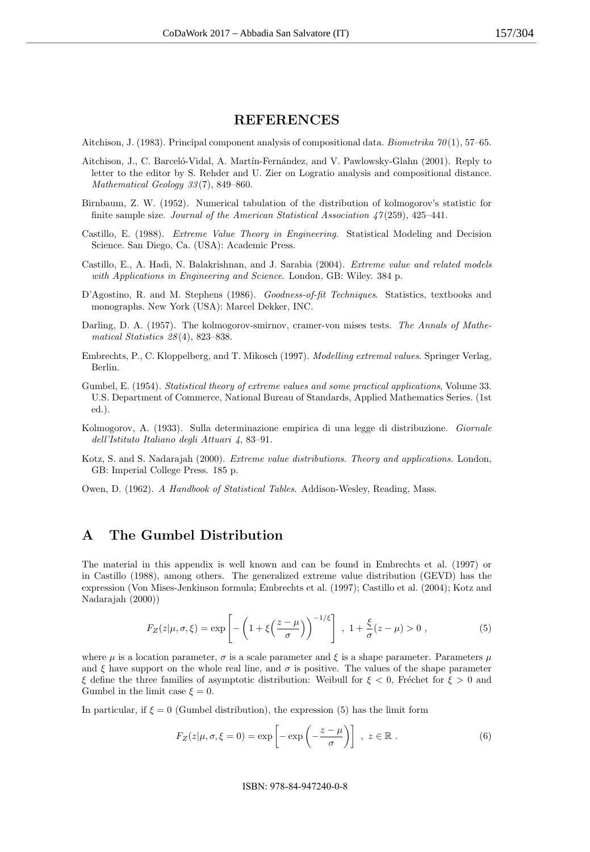### **REFERENCES**

Aitchison, J. (1983). Principal component analysis of compositional data. Biometrika  $\gamma_0(1)$ , 57–65.

- Aitchison, J., C. Barceló-Vidal, A. Martín-Fernández, and V. Pawlowsky-Glahn (2001). Reply to letter to the editor by S. Rehder and U. Zier on Logratio analysis and compositional distance. Mathematical Geology 33 (7), 849–860.
- Birnbaum, Z. W. (1952). Numerical tabulation of the distribution of kolmogorov's statistic for finite sample size. Journal of the American Statistical Association  $\frac{1}{2}(259)$ , 425–441.
- Castillo, E. (1988). Extreme Value Theory in Engineering. Statistical Modeling and Decision Science. San Diego, Ca. (USA): Academic Press.
- Castillo, E., A. Hadi, N. Balakrishnan, and J. Sarabia (2004). Extreme value and related models with Applications in Engineering and Science. London, GB: Wiley. 384 p.
- D'Agostino, R. and M. Stephens (1986). Goodness-of-fit Techniques. Statistics, textbooks and monographs. New York (USA): Marcel Dekker, INC.
- Darling, D. A. (1957). The kolmogorov-smirnov, cramer-von mises tests. The Annals of Mathematical Statistics 28 (4), 823–838.
- Embrechts, P., C. Kloppelberg, and T. Mikosch (1997). Modelling extremal values. Springer Verlag, Berlin.
- Gumbel, E. (1954). Statistical theory of extreme values and some practical applications, Volume 33. U.S. Department of Commerce, National Bureau of Standards, Applied Mathematics Series. (1st ed.).
- Kolmogorov, A. (1933). Sulla determinazione empirica di una legge di distribuzione. Giornale dell'Istituto Italiano degli Attuari 4, 83–91.
- Kotz, S. and S. Nadarajah (2000). Extreme value distributions. Theory and applications. London, GB: Imperial College Press. 185 p.
- Owen, D. (1962). A Handbook of Statistical Tables. Addison-Wesley, Reading, Mass.

# A The Gumbel Distribution

The material in this appendix is well known and can be found in Embrechts et al. (1997) or in Castillo (1988), among others. The generalized extreme value distribution (GEVD) has the expression (Von Mises-Jenkinson formula; Embrechts et al. (1997); Castillo et al. (2004); Kotz and Nadarajah (2000))

$$
F_Z(z|\mu,\sigma,\xi) = \exp\left[-\left(1+\xi\left(\frac{z-\mu}{\sigma}\right)\right)^{-1/\xi}\right], \ 1+\frac{\xi}{\sigma}(z-\mu) > 0,
$$
\n(5)

where  $\mu$  is a location parameter,  $\sigma$  is a scale parameter and  $\xi$  is a shape parameter. Parameters  $\mu$ and  $\xi$  have support on the whole real line, and  $\sigma$  is positive. The values of the shape parameter ξ define the three families of asymptotic distribution: Weibull for  $\xi < 0$ , Fréchet for  $\xi > 0$  and Gumbel in the limit case  $\xi = 0$ .

In particular, if  $\xi = 0$  (Gumbel distribution), the expression (5) has the limit form

$$
F_Z(z|\mu, \sigma, \xi = 0) = \exp\left[-\exp\left(-\frac{z-\mu}{\sigma}\right)\right], \ z \in \mathbb{R}.
$$
 (6)

ISBN: 978-84-947240-0-8